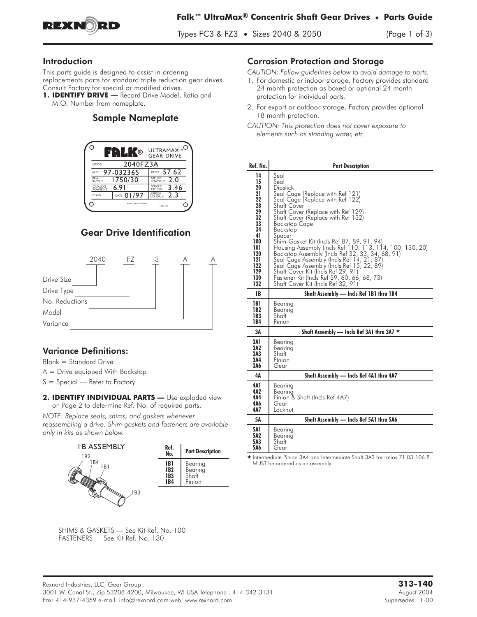

Types FC3 & FZ3 • Sizes 2040 & 2050 (Page 1 of 3)

#### Introduction

This parts guide is designed to assist in ordering replacements parts for standard triple reduction gear drives. Consult Factory for special or modified drives.

1. **IDENTIFY DRIVE** - Record Drive Model, Ratio and M.O. Number from nameplate.

## Sample Nameplate



# Gear Drive Identification



### **Variance Definitions:**

**Blank = Standard Drive**

- **A = Drive equipped With Backstop**
- **S = Special Refer to Factory**
- 2. IDENTIFY INDIVIDUAL PARTS **Use exploded view on Page 2 to determine Ref. No. of required parts.**

*NOTE: Replace seals, shims, and gaskets whenever reassembling a drive. Shim-gaskets and fasteners are available only in kits as shown below.*



#### Corrosion Protection and Storage

*CAUTION: Follow guidelines below to avoid damage to parts.*

- 1. For domestic or indoor storage, Factory provides standard 24 month protection as boxed or optional 24 month protection for individual parts.
- 2. For export or outdoor storage, Factory provides optional 18 month protection.
- *CAUTION: This protection does not cover exposure to elements such as standing water, etc.*

| Ref. No.                                                                                                               | <b>Part Description</b>                                                                                                                                                                                                                                                                                                                                                                                                                                                                                                                                                                                                             |  |  |  |  |
|------------------------------------------------------------------------------------------------------------------------|-------------------------------------------------------------------------------------------------------------------------------------------------------------------------------------------------------------------------------------------------------------------------------------------------------------------------------------------------------------------------------------------------------------------------------------------------------------------------------------------------------------------------------------------------------------------------------------------------------------------------------------|--|--|--|--|
| 14<br>15<br>20<br>21<br>22<br>28<br>29<br>32<br>33<br>34<br>41<br>100<br>101<br>120<br>121<br>122<br>129<br>130<br>132 | Seal<br>Seal<br>Dipstick<br>Seal Cage (Replace with Ref 121)<br>Seal Cage (Replace with Ref 122)<br><b>Shaft Cover</b><br>Shaft Cover (Replace with Ret 129)<br>Shaft Cover (Replace with Ref 132)<br><b>Backstop Cage</b><br>Backstop<br>Spacer<br>Shim-Gasket Kit (Incls Ref 87, 89, 91, 94)<br>Housing Assembly (Incls Ref 110, 113, 114, 100, 130, 20)<br>Backstop Assembly (Incls Ref 32, 33, 34, 68, 91)<br>Seal Cage Assembly (Incls Ref 14, 21, 87)<br>Seal Cage Assembly (Incls Ref 15, 22, 89)<br>Shaft Cover Kit (Incls Ref 29, 91)<br>Fastener Kit (Incls Ref 59, 60, 66, 68, 73)<br>Shaft Cover Kit (Incls Ref 32, 91) |  |  |  |  |
| 1B                                                                                                                     | Shaft Assembly - Incls Ref 1B1 thru 1B4                                                                                                                                                                                                                                                                                                                                                                                                                                                                                                                                                                                             |  |  |  |  |
| 1B1<br>1B2<br>1B3<br>1 B 4                                                                                             | Bearing<br>Bearing<br>Shatt<br>Pinion                                                                                                                                                                                                                                                                                                                                                                                                                                                                                                                                                                                               |  |  |  |  |
| ЗΑ                                                                                                                     | Shaft Assembly — Incls Ref 3A1 thru 3A7 ★                                                                                                                                                                                                                                                                                                                                                                                                                                                                                                                                                                                           |  |  |  |  |
| 3A 1<br>3A2<br>3A3<br>3A4<br>3A6                                                                                       | Bearina<br>Bearing<br>Shaft<br>Pinion<br>Gear                                                                                                                                                                                                                                                                                                                                                                                                                                                                                                                                                                                       |  |  |  |  |
| 4Δ                                                                                                                     | Shaft Assembly - Incls Ref 4A1 thru 4A7                                                                                                                                                                                                                                                                                                                                                                                                                                                                                                                                                                                             |  |  |  |  |
| 4A 1<br>4A2<br>4Α4<br>4A6<br>4Δ7                                                                                       | Bearing<br>Bearina<br>Pinion & Shaft (Incls Ref 4A7)<br>Gear<br>Locknut                                                                                                                                                                                                                                                                                                                                                                                                                                                                                                                                                             |  |  |  |  |
| 5Α                                                                                                                     | Shaft Assembly - Incls Ref 5A1 thru 5A6                                                                                                                                                                                                                                                                                                                                                                                                                                                                                                                                                                                             |  |  |  |  |
| <b>5A1</b><br>5A2<br>5A3<br>5A6                                                                                        | Bearing<br>Bearing<br>Shatt<br>Gear                                                                                                                                                                                                                                                                                                                                                                                                                                                                                                                                                                                                 |  |  |  |  |

- Intermediate Pinion 3A4 and Intermediate Shaft 3A3 for ratios 71.03-106.8 MUST be ordered as an assembly.

**SHIMS & GASKETS — See Kit Ref. No. 100** FASTENERS — See Kit Ref. No. 130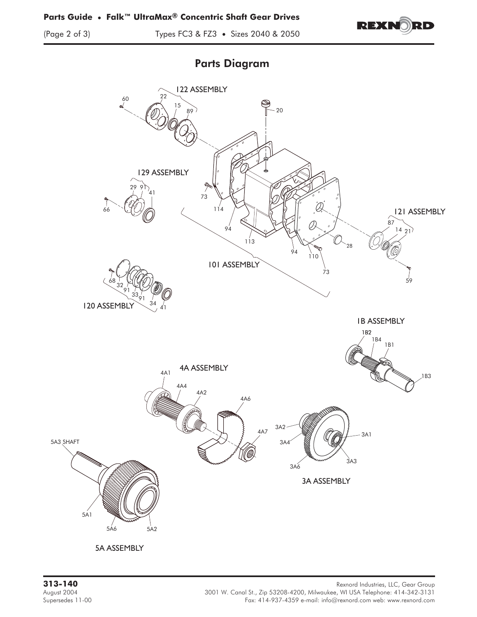

(Page 2 of 3) Types FC3 & FZ3 • Sizes 2040 & 2050

# Parts Diagram